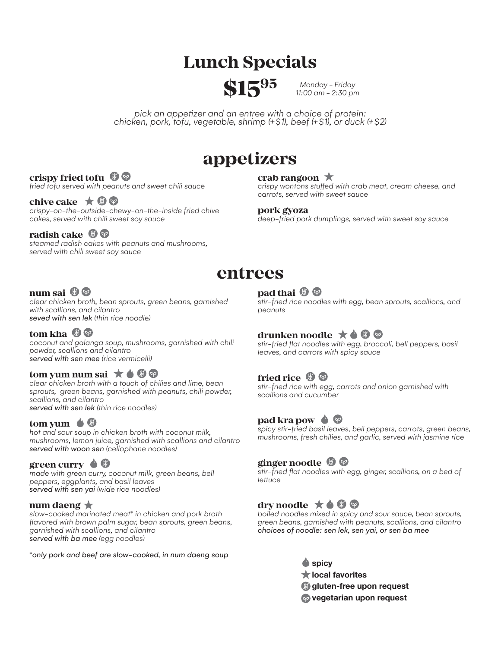# **Lunch Specials**



*Monday - Friday 11:00 am - 2:30 pm*

*pick an appetizer and an entree with a choice of protein: chicken, pork, tofu, vegetable, shrimp (+\$1), beef (+\$1), or duck (+\$2)*

# **appetizers**

#### **crispy fried tofu**  $\mathcal{F}$

*fried tofu served with peanuts and sweet chili sauce*

#### chive cake **★ h**  $\heartsuit$

*crispy-on-the-outside-chewy-on-the-inside fried chive cakes, served with chili sweet soy sauce*

#### **radish cake** (*h*)  $\heartsuit$

*steamed radish cakes with peanuts and mushrooms, served with chili sweet soy sauce*

#### **crab rangoon**

*crispy wontons stuffed with crab meat, cream cheese, and carrots, served with sweet sauce*

#### **pork gyoza**

*deep-fried pork dumplings, served with sweet soy sauce*

# **entrees**

## **num sai**

*clear chicken broth, bean sprouts, green beans, garnished with scallions, and cilantro seved with sen lek (thin rice noodle)*

# **tom kha (9)**

*coconut and galanga soup, mushrooms, garnished with chili powder, scallions and cilantro served with sen mee (rice vermicelli)*

#### **tom yum num sai**  $\star \bullet \circledast \circledast$

*clear chicken broth with a touch of chilies and lime, bean sprouts, green beans, garnished with peanuts, chili powder, scallions, and cilantro served with sen lek (thin rice noodles)*

### **tom yum**

*hot and sour soup in chicken broth with coconut milk, mushrooms, lemon juice, garnished with scallions and cilantro served with woon sen (cellophane noodles)*

#### green curry  $\bullet$  *g*

*made with green curry, coconut milk, green beans, bell peppers, eggplants, and basil leaves served with sen yai (wide rice noodles)*

#### **num daeng**

*slow-cooked marinated meat\* in chicken and pork broth flavored with brown palm sugar, bean sprouts, green beans, garnished with scallions, and cilantro served with ba mee (egg noodles)*

*\*only pork and beef are slow-cooked, in num daeng soup*

# **pad thai** *D*

*stir-fried rice noodles with egg, bean sprouts, scallions, and peanuts*

## **drunken noodle** ★ **4 + +**

*stir-fried flat noodles with egg, broccoli, bell peppers, basil leaves, and carrots with spicy sauce*

### **fried rice** *b*  $\heartsuit$

*stir-fried rice with egg, carrots and onion garnished with scallions and cucumber*

### **pad kra pow**

*spicy stir-fried basil leaves, bell peppers, carrots, green beans, mushrooms, fresh chilies, and garlic, served with jasmine rice*

### **ginger noodle**

*stir-fried flat noodles with egg, ginger, scallions, on a bed of lettuce*

## dry noodle  $\star \bullet \circ \circ$

*boiled noodles mixed in spicy and sour sauce, bean sprouts, green beans, garnished with peanuts, scallions, and cilantro choices of noodle: sen lek, sen yai, or sen ba mee*

**■** spicy

- **local favorites**
- **gluten-free upon request**
- **vegetarian upon request**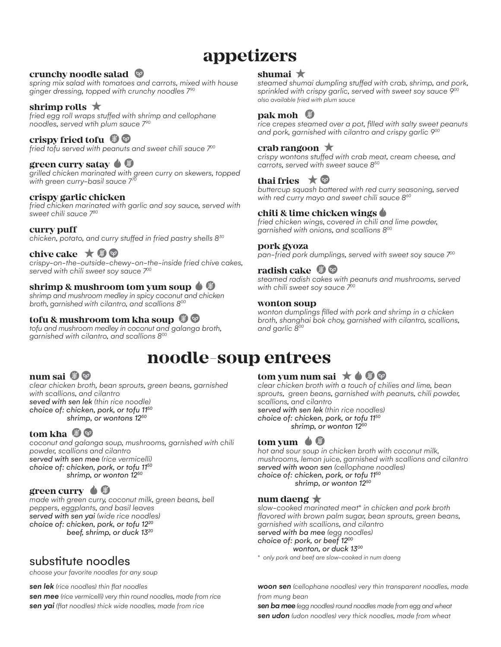# **appetizers**

### **crunchy noodle salad**

*spring mix salad with tomatoes and carrots, mixed with house ginger dressing, topped with crunchy noodles 790*

#### **shrimp rolls**

*fried egg roll wraps stuffed with shrimp and cellophane noodles, served wtih plum sauce 7<sup>90</sup>*

#### **crispy fried tofu** *b*

*fried tofu served with peanuts and sweet chili sauce 700*

#### **green curry satay ♦ 9**

*grilled chicken marinated with green curry on skewers, topped with green curry-basil sauce 7<sup>70</sup>*

#### **crispy garlic chicken**

*fried chicken marinated with garlic and soy sauce, served with sweet chili sauce 780*

#### **curry puff**

*chicken, potato, and curry stuffed in fried pastry shells 8<sup>30</sup>*

### **chive cake**  $\star$  *●*

*crispy-on-the-outside-chewy-on-the-inside fried chive cakes,*  **served with chili sweet soy sauce**  $700$  **radish cake** 

#### **shrimp & mushroom tom yum soup**

*shrimp and mushroom medley in spicy coconut and chicken broth, garnished with cilantro, and scallions 8<sup>00</sup>*

#### **tofu & mushroom tom kha soup**

*tofu and mushroom medley in coconut and galanga broth, garnished with cilantro, and scallions 800*

#### **shumai**

*steamed shumai dumpling stuffed with crab, shrimp, and pork, sprinkled with crispy garlic, served with sweet soy sauce 900 also available fried with plum sauce*

#### **pak moh**

*rice crepes steamed over a pot, filled with salty sweet peanuts and pork, garnished with cilantro and crispy garlic 900*

#### **crab rangoon**

*crispy wontons stuffed with crab meat, cream cheese, and carrots, served with sweet sauce 850*

#### **thai fries** ★ ©

*buttercup squash battered with red curry seasoning, served with red curry mayo and sweet chili sauce 860*

#### **chili & lime chicken wings**

*fried chicken wings, covered in chili and lime powder, garnished with onions, and scallions 800*

#### **pork gyoza**

*pan-fried pork dumplings, served with sweet soy sauce 700*

*steamed radish cakes with peanuts and mushrooms, served with chili sweet soy sauce 700*

#### **wonton soup**

*wonton dumplings filled with pork and shrimp in a chicken broth, shanghai bok choy, garnished with cilantro, scallions, and garlic 800*

# **noodle-soup entrees**

#### **num sai**

*clear chicken broth, bean sprouts, green beans, garnished with scallions, and cilantro seved with sen lek (thin rice noodle) choice of: chicken, pork, or tofu 1150 shrimp, or wontons 1250*

### **tom kha** (h)  $\heartsuit$

*coconut and galanga soup, mushrooms, garnished with chili powder, scallions and cilantro served with sen mee (rice vermicelli) choice of: chicken, pork, or tofu 1150 shrimp, or wonton 1250*

### green curry  $\bigcirc$   $\bigcirc$

*made with green curry, coconut milk, green beans, bell peppers, eggplants, and basil leaves served with sen yai (wide rice noodles) choice of: chicken, pork, or tofu 1220 beef, shrimp, or duck 1320*

# substitute noodles

*choose your favorite noodles for any soup*

*sen lek (rice noodles) thin flat noodles*

*sen mee (rice vermicelli) very thin round noodles, made from rice sen yai (flat noodles) thick wide noodles, made from rice*

#### **tom yum num sai**  $\star \bullet \mathcal{D} \otimes$

*clear chicken broth with a touch of chilies and lime, bean sprouts, green beans, garnished with peanuts, chili powder, scallions, and cilantro served with sen lek (thin rice noodles) choice of: chicken, pork, or tofu 1150 shrimp, or wonton 1250*



*hot and sour soup in chicken broth with coconut milk, mushrooms, lemon juice, garnished with scallions and cilantro served with woon sen (cellophane noodles) choice of: chicken, pork, or tofu 1150 shrimp, or wonton 1250*

#### **num daeng**

*slow-cooked marinated meat\* in chicken and pork broth flavored with brown palm sugar, bean sprouts, green beans, garnished with scallions, and cilantro served with ba mee (egg noodles) choice of: pork, or beef 1200 wonton, or duck 1300*

*\* only pork and beef are slow-cooked in num daeng*

*woon sen (cellophane noodles) very thin transparent noodles, made from mung bean*

*sen ba mee (egg noodles) round noodles made from egg and wheat sen udon (udon noodles) very thick noodles, made from wheat*